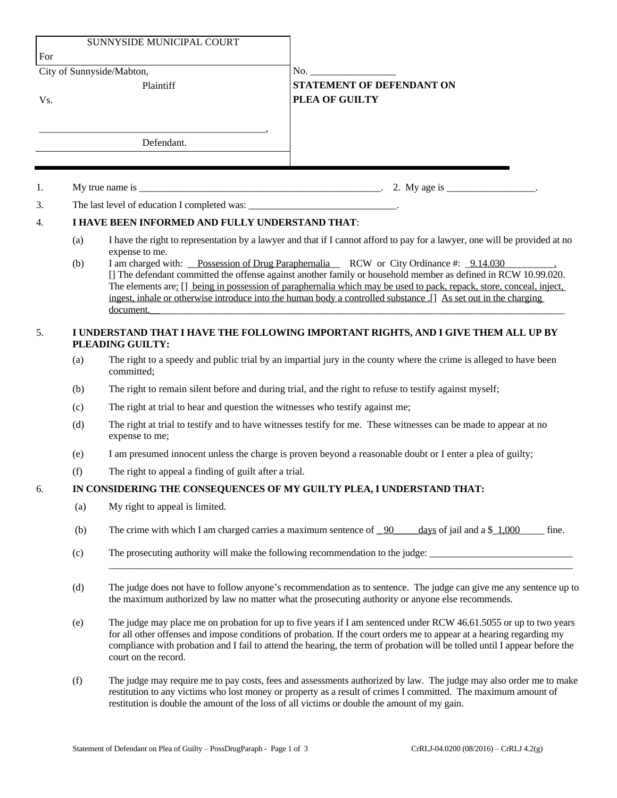|                  |                                                                                                        | SUNNYSIDE MUNICIPAL COURT                                                                                                                                                                                                                                                                                                                                                                                                                                       |                                                                                                                            |  |
|------------------|--------------------------------------------------------------------------------------------------------|-----------------------------------------------------------------------------------------------------------------------------------------------------------------------------------------------------------------------------------------------------------------------------------------------------------------------------------------------------------------------------------------------------------------------------------------------------------------|----------------------------------------------------------------------------------------------------------------------------|--|
| For              |                                                                                                        |                                                                                                                                                                                                                                                                                                                                                                                                                                                                 |                                                                                                                            |  |
|                  |                                                                                                        | City of Sunnyside/Mabton,                                                                                                                                                                                                                                                                                                                                                                                                                                       |                                                                                                                            |  |
|                  |                                                                                                        | Plaintiff                                                                                                                                                                                                                                                                                                                                                                                                                                                       | <b>STATEMENT OF DEFENDANT ON</b>                                                                                           |  |
| Vs.              |                                                                                                        |                                                                                                                                                                                                                                                                                                                                                                                                                                                                 | PLEA OF GUILTY                                                                                                             |  |
|                  |                                                                                                        |                                                                                                                                                                                                                                                                                                                                                                                                                                                                 |                                                                                                                            |  |
|                  |                                                                                                        | Defendant.                                                                                                                                                                                                                                                                                                                                                                                                                                                      |                                                                                                                            |  |
|                  |                                                                                                        |                                                                                                                                                                                                                                                                                                                                                                                                                                                                 |                                                                                                                            |  |
| 1.               |                                                                                                        |                                                                                                                                                                                                                                                                                                                                                                                                                                                                 |                                                                                                                            |  |
| 3.               |                                                                                                        | The last level of education I completed was: ___________________________________.                                                                                                                                                                                                                                                                                                                                                                               |                                                                                                                            |  |
| $\overline{4}$ . |                                                                                                        | I HAVE BEEN INFORMED AND FULLY UNDERSTAND THAT:                                                                                                                                                                                                                                                                                                                                                                                                                 |                                                                                                                            |  |
|                  | (a)                                                                                                    | expense to me.                                                                                                                                                                                                                                                                                                                                                                                                                                                  | I have the right to representation by a lawyer and that if I cannot afford to pay for a lawyer, one will be provided at no |  |
|                  | (b)                                                                                                    | I am charged with: Possession of Drug Paraphernalia RCW or City Ordinance #: 9.14.030<br>[] The defendant committed the offense against another family or household member as defined in RCW 10.99.020.<br>The elements are: [] being in possession of paraphernalia which may be used to pack, repack, store, conceal, inject,<br>ingest, inhale or otherwise introduce into the human body a controlled substance. [] As set out in the charging<br>document. |                                                                                                                            |  |
| 5.               | I UNDERSTAND THAT I HAVE THE FOLLOWING IMPORTANT RIGHTS, AND I GIVE THEM ALL UP BY<br>PLEADING GUILTY: |                                                                                                                                                                                                                                                                                                                                                                                                                                                                 |                                                                                                                            |  |
|                  | (a)                                                                                                    | The right to a speedy and public trial by an impartial jury in the county where the crime is alleged to have been<br>committed;                                                                                                                                                                                                                                                                                                                                 |                                                                                                                            |  |
|                  | (b)                                                                                                    | The right to remain silent before and during trial, and the right to refuse to testify against myself;                                                                                                                                                                                                                                                                                                                                                          |                                                                                                                            |  |
|                  | (c)                                                                                                    | The right at trial to hear and question the witnesses who testify against me;                                                                                                                                                                                                                                                                                                                                                                                   |                                                                                                                            |  |
|                  | (d)                                                                                                    | The right at trial to testify and to have witnesses testify for me. These witnesses can be made to appear at no<br>expense to me;                                                                                                                                                                                                                                                                                                                               |                                                                                                                            |  |
|                  | (e)                                                                                                    | I am presumed innocent unless the charge is proven beyond a reasonable doubt or I enter a plea of guilty;                                                                                                                                                                                                                                                                                                                                                       |                                                                                                                            |  |
|                  | (f)                                                                                                    | The right to appeal a finding of guilt after a trial.                                                                                                                                                                                                                                                                                                                                                                                                           |                                                                                                                            |  |
| 6.               |                                                                                                        |                                                                                                                                                                                                                                                                                                                                                                                                                                                                 | IN CONSIDERING THE CONSEQUENCES OF MY GUILTY PLEA, I UNDERSTAND THAT:                                                      |  |
|                  | (a)                                                                                                    | My right to appeal is limited.                                                                                                                                                                                                                                                                                                                                                                                                                                  |                                                                                                                            |  |
|                  | (b)                                                                                                    | The crime with which I am charged carries a maximum sentence of $\_\frac{90}{7}$<br>days of jail and a $$1,000$<br>fine.                                                                                                                                                                                                                                                                                                                                        |                                                                                                                            |  |
|                  | (c)                                                                                                    | The prosecuting authority will make the following recommendation to the judge:                                                                                                                                                                                                                                                                                                                                                                                  |                                                                                                                            |  |
|                  | (d)                                                                                                    | The judge does not have to follow anyone's recommendation as to sentence. The judge can give me any sentence up to<br>the maximum authorized by law no matter what the prosecuting authority or anyone else recommends.                                                                                                                                                                                                                                         |                                                                                                                            |  |
|                  | (e)                                                                                                    | The judge may place me on probation for up to five years if I am sentenced under RCW 46.61.5055 or up to two years<br>for all other offenses and impose conditions of probation. If the court orders me to appear at a hearing regarding my<br>compliance with probation and I fail to attend the hearing, the term of probation will be tolled until I appear before the<br>court on the record.                                                               |                                                                                                                            |  |
|                  | (f)                                                                                                    | The judge may require me to pay costs, fees and assessments authorized by law. The judge may also order me to make<br>restitution to any victims who lost money or property as a result of crimes I committed. The maximum amount of                                                                                                                                                                                                                            |                                                                                                                            |  |

restitution is double the amount of the loss of all victims or double the amount of my gain.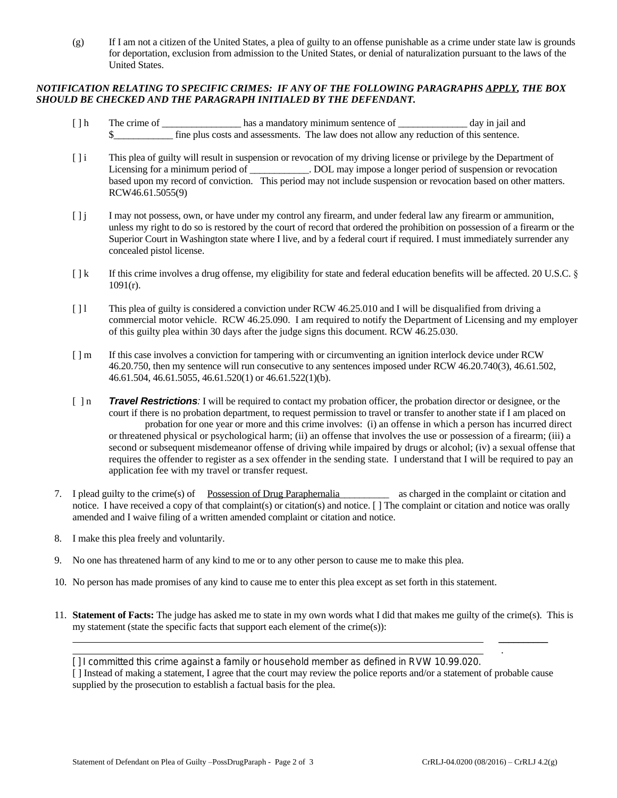(g) If I am not a citizen of the United States, a plea of guilty to an offense punishable as a crime under state law is grounds for deportation, exclusion from admission to the United States, or denial of naturalization pursuant to the laws of the United States.

## *NOTIFICATION RELATING TO SPECIFIC CRIMES: IF ANY OF THE FOLLOWING PARAGRAPHS APPLY, THE BOX SHOULD BE CHECKED AND THE PARAGRAPH INITIALED BY THE DEFENDANT.*

- [] h The crime of \_\_\_\_\_\_\_\_\_\_\_\_\_\_\_\_\_ has a mandatory minimum sentence of \_\_\_\_\_\_\_\_\_\_\_\_\_\_\_ day in jail and \$\_\_\_\_\_\_\_\_\_\_\_\_ fine plus costs and assessments. The law does not allow any reduction of this sentence.
- [ ] i This plea of guilty will result in suspension or revocation of my driving license or privilege by the Department of Licensing for a minimum period of \_\_\_\_\_\_\_\_\_\_\_. DOL may impose a longer period of suspension or revocation based upon my record of conviction. This period may not include suspension or revocation based on other matters. RCW46.61.5055(9)
- [ ] j I may not possess, own, or have under my control any firearm, and under federal law any firearm or ammunition, unless my right to do so is restored by the court of record that ordered the prohibition on possession of a firearm or the Superior Court in Washington state where I live, and by a federal court if required. I must immediately surrender any concealed pistol license.
- [  $\vert k$  If this crime involves a drug offense, my eligibility for state and federal education benefits will be affected. 20 U.S.C. § 1091(r).
- [ ] l This plea of guilty is considered a conviction under RCW 46.25.010 and I will be disqualified from driving a commercial motor vehicle. RCW 46.25.090. I am required to notify the Department of Licensing and my employer of this guilty plea within 30 days after the judge signs this document. RCW 46.25.030.
- [ ] m If this case involves a conviction for tampering with or circumventing an ignition interlock device under RCW 46.20.750, then my sentence will run consecutive to any sentences imposed under RCW 46.20.740(3), 46.61.502, 46.61.504, 46.61.5055, 46.61.520(1) or 46.61.522(1)(b).
- [ ] n *Travel Restrictions:* I will be required to contact my probation officer, the probation director or designee, or the court if there is no probation department, to request permission to travel or transfer to another state if I am placed on probation for one year or more and this crime involves: (i) an offense in which a person has incurred direct or threatened physical or psychological harm; (ii) an offense that involves the use or possession of a firearm; (iii) a second or subsequent misdemeanor offense of driving while impaired by drugs or alcohol; (iv) a sexual offense that requires the offender to register as a sex offender in the sending state. I understand that I will be required to pay an application fee with my travel or transfer request.
- 7. I plead guilty to the crime(s) of Possession of Drug Paraphernalia as charged in the complaint or citation and notice. I have received a copy of that complaint(s) or citation(s) and notice. [ ] The complaint or citation and notice was orally amended and I waive filing of a written amended complaint or citation and notice.
- 8. I make this plea freely and voluntarily.
- 9. No one has threatened harm of any kind to me or to any other person to cause me to make this plea.
- 10. No person has made promises of any kind to cause me to enter this plea except as set forth in this statement.
- 11. **Statement of Facts:** The judge has asked me to state in my own words what I did that makes me guilty of the crime(s). This is my statement (state the specific facts that support each element of the crime(s)):

[ ] I committed this crime against a family or household member as defined in RVW 10.99.020.

[ ] Instead of making a statement, I agree that the court may review the police reports and/or a statement of probable cause supplied by the prosecution to establish a factual basis for the plea.

 $\overline{\phantom{a}}$ 

.